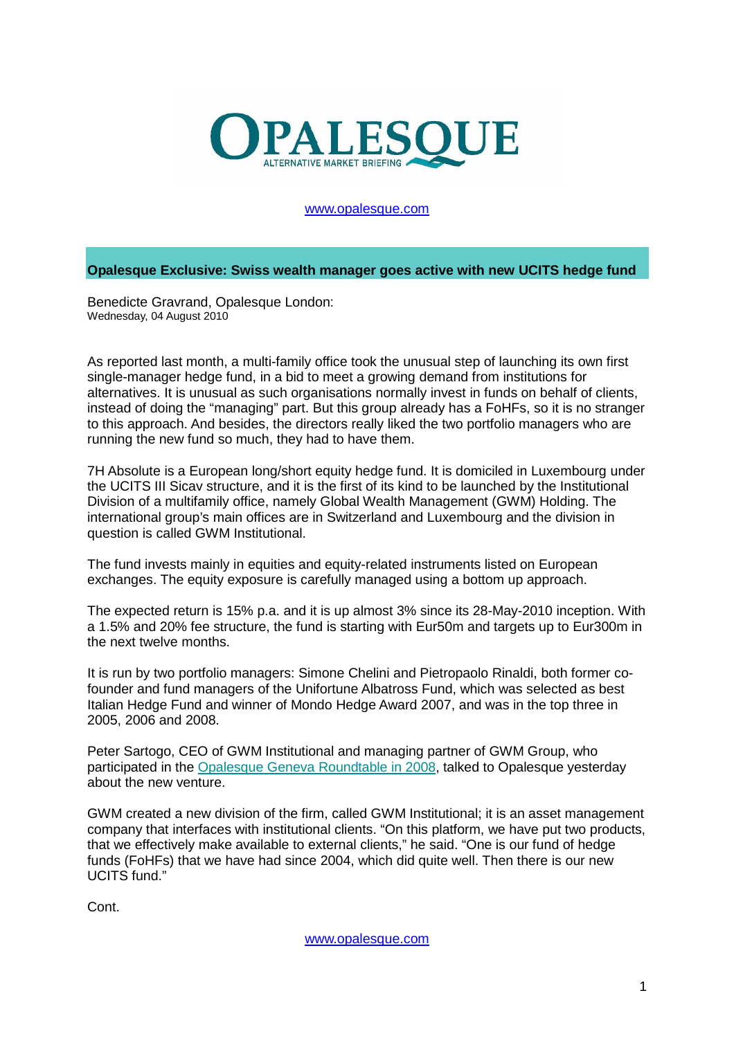

## www.opalesque.com

**Opalesque Exclusive: Swiss wealth manager goes active with new UCITS hedge fund**

Benedicte Gravrand, Opalesque London: Wednesday, 04 August 2010

As reported last month, a multi-family office took the unusual step of launching its own first single-manager hedge fund, in a bid to meet a growing demand from institutions for alternatives. It is unusual as such organisations normally invest in funds on behalf of clients, instead of doing the "managing" part. But this group already has a FoHFs, so it is no stranger to this approach. And besides, the directors really liked the two portfolio managers who are running the new fund so much, they had to have them.

7H Absolute is a European long/short equity hedge fund. It is domiciled in Luxembourg under the UCITS III Sicav structure, and it is the first of its kind to be launched by the Institutional Division of a multifamily office, namely Global Wealth Management (GWM) Holding. The international group's main offices are in Switzerland and Luxembourg and the division in question is called GWM Institutional.

The fund invests mainly in equities and equity-related instruments listed on European exchanges. The equity exposure is carefully managed using a bottom up approach.

The expected return is 15% p.a. and it is up almost 3% since its 28-May-2010 inception. With a 1.5% and 20% fee structure, the fund is starting with Eur50m and targets up to Eur300m in the next twelve months.

It is run by two portfolio managers: Simone Chelini and Pietropaolo Rinaldi, both former cofounder and fund managers of the Unifortune Albatross Fund, which was selected as best Italian Hedge Fund and winner of Mondo Hedge Award 2007, and was in the top three in 2005, 2006 and 2008.

Peter Sartogo, CEO of GWM Institutional and managing partner of GWM Group, who participated in the Opalesque Geneva Roundtable in 2008, talked to Opalesque yesterday about the new venture.

GWM created a new division of the firm, called GWM Institutional; it is an asset management company that interfaces with institutional clients. "On this platform, we have put two products, that we effectively make available to external clients," he said. "One is our fund of hedge funds (FoHFs) that we have had since 2004, which did quite well. Then there is our new UCITS fund."

Cont.